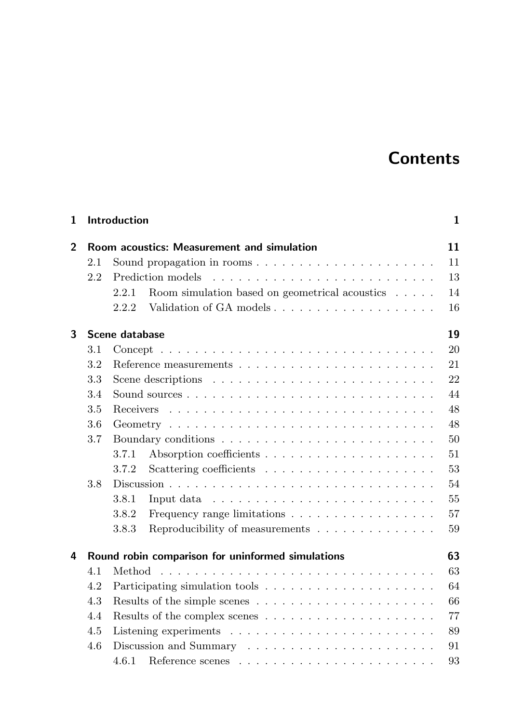## **Contents**

| 1            | Introduction                               |                                                                                               |    |  |  |  |  |
|--------------|--------------------------------------------|-----------------------------------------------------------------------------------------------|----|--|--|--|--|
| $\mathbf{2}$ | Room acoustics: Measurement and simulation |                                                                                               |    |  |  |  |  |
|              | 2.1                                        | Sound propagation in rooms                                                                    | 11 |  |  |  |  |
|              | 2.2                                        |                                                                                               | 13 |  |  |  |  |
|              |                                            | Room simulation based on geometrical acoustics $\ldots$ .<br>2.2.1                            | 14 |  |  |  |  |
|              |                                            | 2.2.2                                                                                         | 16 |  |  |  |  |
| 3            | 19<br>Scene database                       |                                                                                               |    |  |  |  |  |
|              | 3.1                                        | $Concept \dots \dots \dots \dots \dots \dots \dots \dots \dots \dots \dots \dots \dots \dots$ | 20 |  |  |  |  |
|              | 3.2                                        |                                                                                               | 21 |  |  |  |  |
|              | 3.3                                        | Scene descriptions $\dots \dots \dots \dots \dots \dots \dots \dots \dots \dots$              | 22 |  |  |  |  |
|              | 3.4                                        |                                                                                               | 44 |  |  |  |  |
|              | 3.5                                        | <b>Receivers</b>                                                                              | 48 |  |  |  |  |
|              | 3.6                                        |                                                                                               | 48 |  |  |  |  |
|              | 3.7                                        |                                                                                               | 50 |  |  |  |  |
|              |                                            | 3.7.1                                                                                         | 51 |  |  |  |  |
|              |                                            | 3.7.2                                                                                         | 53 |  |  |  |  |
|              | 3.8                                        |                                                                                               |    |  |  |  |  |
|              |                                            | 3.8.1<br>Input data $\ldots \ldots \ldots \ldots \ldots \ldots \ldots \ldots$                 | 55 |  |  |  |  |
|              |                                            | 3.8.2<br>Frequency range limitations $\dots \dots \dots \dots \dots \dots$                    | 57 |  |  |  |  |
|              |                                            | 3.8.3<br>Reproducibility of measurements                                                      | 59 |  |  |  |  |
| 4            |                                            | 63<br>Round robin comparison for uninformed simulations                                       |    |  |  |  |  |
|              | 4.1                                        |                                                                                               | 63 |  |  |  |  |
|              | 4.2                                        |                                                                                               | 64 |  |  |  |  |
|              | 4.3                                        | Results of the simple scenes $\ldots \ldots \ldots \ldots \ldots \ldots \ldots$               | 66 |  |  |  |  |
|              | 4.4                                        | 77<br>Results of the complex scenes $\dots \dots \dots \dots \dots \dots \dots$               |    |  |  |  |  |
|              | 4.5                                        | 89<br>Listening experiments $\ldots \ldots \ldots \ldots \ldots \ldots \ldots \ldots$         |    |  |  |  |  |
|              | 4.6                                        | 91                                                                                            |    |  |  |  |  |
|              |                                            |                                                                                               | 93 |  |  |  |  |